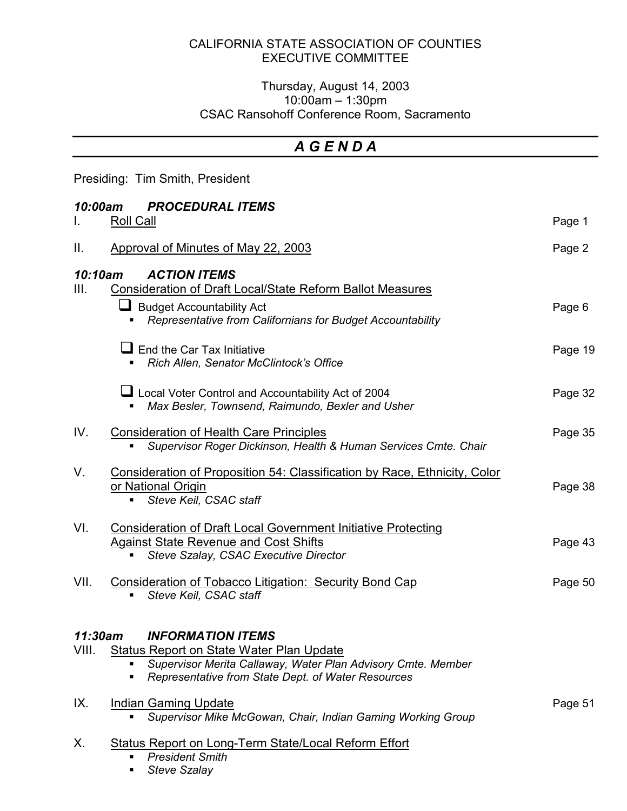## CALIFORNIA STATE ASSOCIATION OF COUNTIES EXECUTIVE COMMITTEE

## Thursday, August 14, 2003 10:00am – 1:30pm CSAC Ransohoff Conference Room, Sacramento

## *A G E N D A*

Presiding: Tim Smith, President

| 10:00am<br><b>PROCEDURAL ITEMS</b>                                                                                                                                                                                    |                                                                                                                                                                                           |         |  |
|-----------------------------------------------------------------------------------------------------------------------------------------------------------------------------------------------------------------------|-------------------------------------------------------------------------------------------------------------------------------------------------------------------------------------------|---------|--|
| L.                                                                                                                                                                                                                    | Roll Call                                                                                                                                                                                 | Page 1  |  |
| Ш.                                                                                                                                                                                                                    | Approval of Minutes of May 22, 2003                                                                                                                                                       | Page 2  |  |
| 10:10am<br>III.                                                                                                                                                                                                       | <b>ACTION ITEMS</b><br><b>Consideration of Draft Local/State Reform Ballot Measures</b><br><b>Budget Accountability Act</b><br>Representative from Californians for Budget Accountability | Page 6  |  |
|                                                                                                                                                                                                                       | $\blacksquare$ End the Car Tax Initiative<br>Rich Allen, Senator McClintock's Office                                                                                                      | Page 19 |  |
|                                                                                                                                                                                                                       | Local Voter Control and Accountability Act of 2004<br>Max Besler, Townsend, Raimundo, Bexler and Usher                                                                                    | Page 32 |  |
| IV.                                                                                                                                                                                                                   | <b>Consideration of Health Care Principles</b><br>Supervisor Roger Dickinson, Health & Human Services Cmte. Chair                                                                         | Page 35 |  |
| V.                                                                                                                                                                                                                    | Consideration of Proposition 54: Classification by Race, Ethnicity, Color<br>or National Origin<br>Steve Keil, CSAC staff                                                                 | Page 38 |  |
| VI.                                                                                                                                                                                                                   | <b>Consideration of Draft Local Government Initiative Protecting</b><br><b>Against State Revenue and Cost Shifts</b><br>Steve Szalay, CSAC Executive Director<br>$\blacksquare$           | Page 43 |  |
| VII.                                                                                                                                                                                                                  | <b>Consideration of Tobacco Litigation: Security Bond Cap</b><br>Steve Keil, CSAC staff                                                                                                   | Page 50 |  |
| 11:30am<br><b>INFORMATION ITEMS</b><br>VIII.<br><b>Status Report on State Water Plan Update</b><br>Supervisor Merita Callaway, Water Plan Advisory Cmte. Member<br>Representative from State Dept. of Water Resources |                                                                                                                                                                                           |         |  |
| IX.                                                                                                                                                                                                                   | <b>Indian Gaming Update</b>                                                                                                                                                               | Page 51 |  |

- *Supervisor Mike McGowan, Chair, Indian Gaming Working Group*
- X. Status Report on Long-Term State/Local Reform Effort
	- *President Smith*
	- *Steve Szalay*